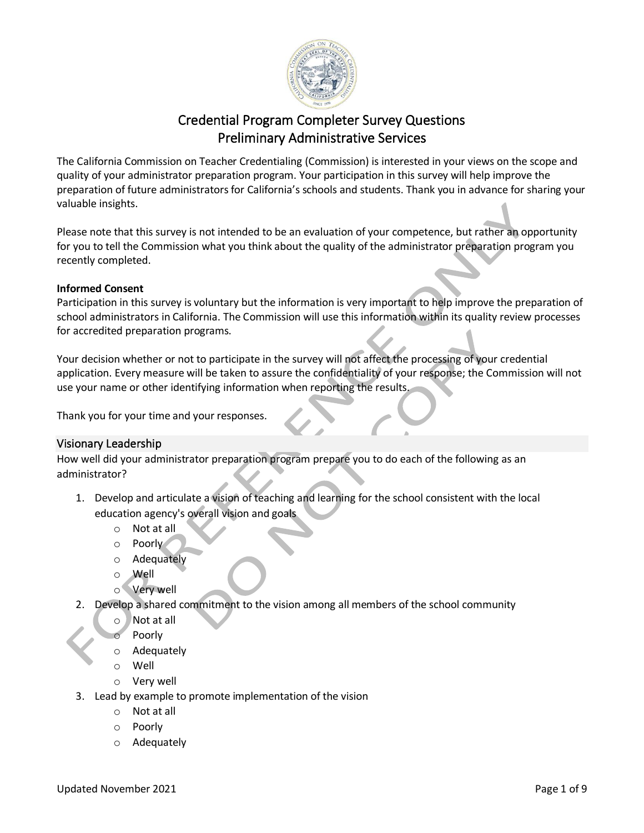

# Credential Program Completer Survey Questions Preliminary Administrative Services  $\overline{\phantom{a}}$  reference on  $\overline{\phantom{a}}$

The California Commission on Teacher Credentialing (Commission) is interested in your views on the scope and quality of your administrator preparation program. Your participation in this survey will help improve the preparation of future administrators for California's schools and students. Thank you in advance for sharing your valuable insights.

Please note that this survey is not intended to be an evaluation of your competence, but rather an opportunity for you to tell the Commission what you think about the quality of the administrator preparation program you recently completed.

#### **Informed Consent**

Participation in this survey is voluntary but the information is very important to help improve the preparation of school administrators in California. The Commission will use this information within its quality review processes for accredited preparation programs.

Your decision whether or not to participate in the survey will not affect the processing of your credential application. Every measure will be taken to assure the confidentiality of your response; the Commission will not use your name or other identifying information when reporting the results.

Thank you for your time and your responses.

## Visionary Leadership

How well did your administrator preparation program prepare you to do each of the following as an administrator?

- 1. Develop and articulate a vision of teaching and learning for the school consistent with the local education agency's overall vision and goals
	- o Not at all
	- o Poorly
	- o Adequately
	- o Well
	- o Very well
- 2. Develop a shared commitment to the vision among all members of the school community
	- o Not at all
		- Poorly
	- o Adequately
	- o Well
	- o Very well
- 3. Lead by example to promote implementation of the vision
	- o Not at all
	- o Poorly
	- o Adequately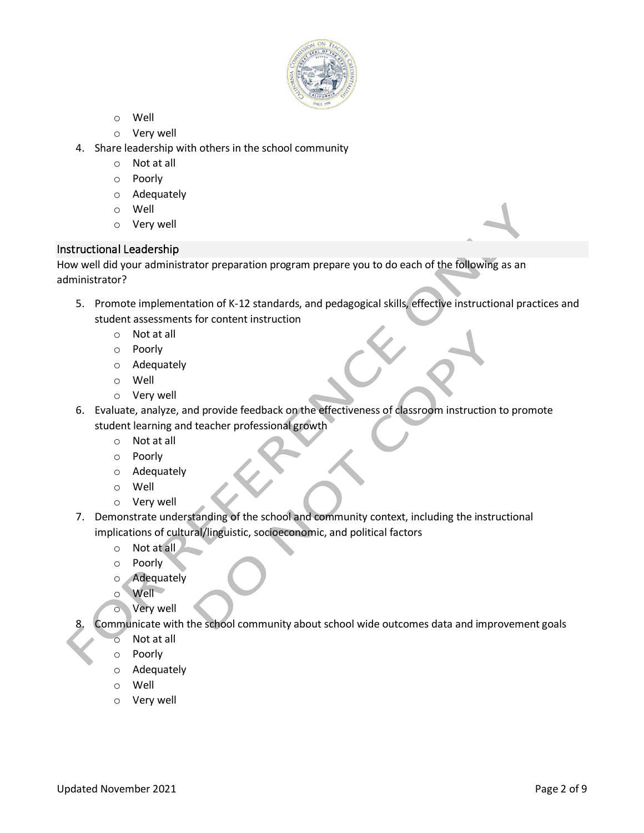

- o Well
- o Very well
- 4. Share leadership with others in the school community
	- o Not at all
	- o Poorly
	- o Adequately
	- o Well
	- o Very well

## Instructional Leadership

How well did your administrator preparation program prepare you to do each of the following as an administrator?

- 5. Promote implementation of K-12 standards, and pedagogical skills, effective instructional practices and student assessments for content instruction
	- o Not at all
	- o Poorly
	- o Adequately
	- o Well
	- o Very well
- 6. Evaluate, analyze, and provide feedback on the effectiveness of classroom instruction to promote student learning and teacher professional growth
	- o Not at all
	- o Poorly
	- o Adequately
	- o Well
	- o Very well
- 7. Demonstrate understanding of the school and community context, including the instructional implications of cultural/linguistic, socioeconomic, and political factors
	- o Not at all
	- o Poorly
	- o Adequately
	- o Well
	- o Very well

Communicate with the school community about school wide outcomes data and improvement goals

- o Not at all
- o Poorly
- o Adequately
- o Well
- o Very well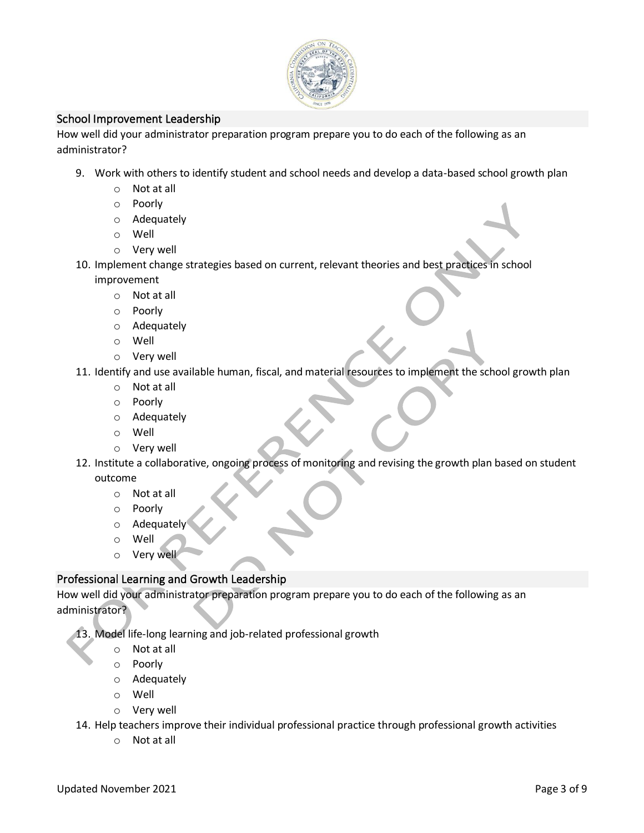

## School Improvement Leadership

How well did your administrator preparation program prepare you to do each of the following as an administrator?

- 9. Work with others to identify student and school needs and develop a data-based school growth plan
	- o Not at all
	- o Poorly
	- o Adequately
	- o Well
	- o Very well
- 10. Implement change strategies based on current, relevant theories and best practices in school improvement
	- o Not at all
	- o Poorly
	- o Adequately
	- o Well
	- o Very well
- 11. Identify and use available human, fiscal, and material resources to implement the school growth plan
	- o Not at all
	- o Poorly
	- o Adequately
	- o Well
	- o Very well
- 12. Institute a collaborative, ongoing process of monitoring and revising the growth plan based on student outcome
	- o Not at all
	- o Poorly
	- o Adequately
	- o Well
	- o Very well

## Professional Learning and Growth Leadership

How well did your administrator preparation program prepare you to do each of the following as an administrator?

13. Model life-long learning and job-related professional growth

- o Not at all
- o Poorly
- o Adequately
- o Well
- o Very well

14. Help teachers improve their individual professional practice through professional growth activities

o Not at all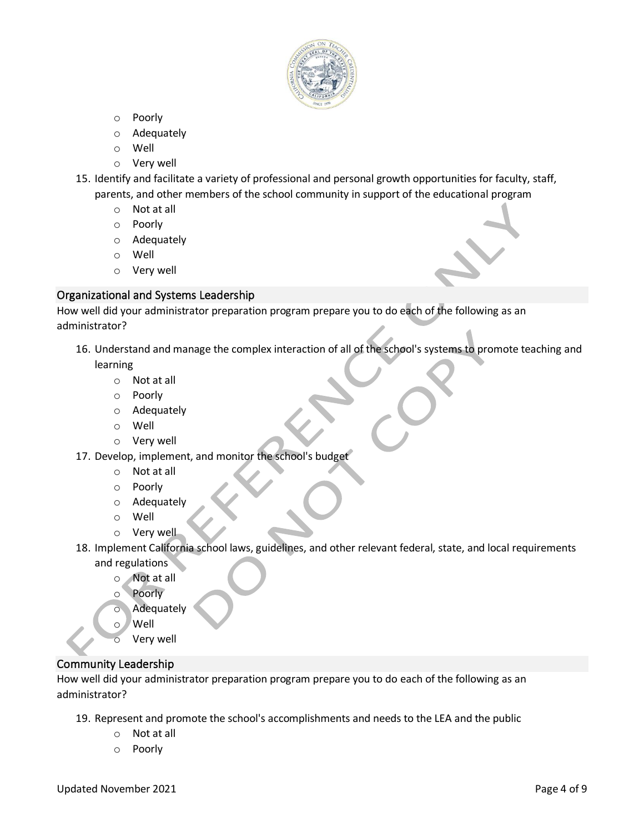

- o Poorly
- o Adequately
- o Well
- o Very well
- 15. Identify and facilitate a variety of professional and personal growth opportunities for faculty, staff, parents, and other members of the school community in support of the educational program
	- o Not at all
	- o Poorly
	- o Adequately
	- o Well
	- o Very well

#### Organizational and Systems Leadership

How well did your administrator preparation program prepare you to do each of the following as an administrator?

- 16. Understand and manage the complex interaction of all of the school's systems to promote teaching and learning
	- o Not at all
	- o Poorly
	- o Adequately
	- o Well
	- o Very well
- 17. Develop, implement, and monitor the school's budget
	- o Not at all
	- o Poorly
	- o Adequately
	- o Well
	- o Very well
- 18. Implement California school laws, guidelines, and other relevant federal, state, and local requirements and regulations
	- o Not at all
	- o Poorly
	- o Adequately
	- o Well
		- Very well

## Community Leadership

How well did your administrator preparation program prepare you to do each of the following as an administrator?

- 19. Represent and promote the school's accomplishments and needs to the LEA and the public
	- o Not at all
	- o Poorly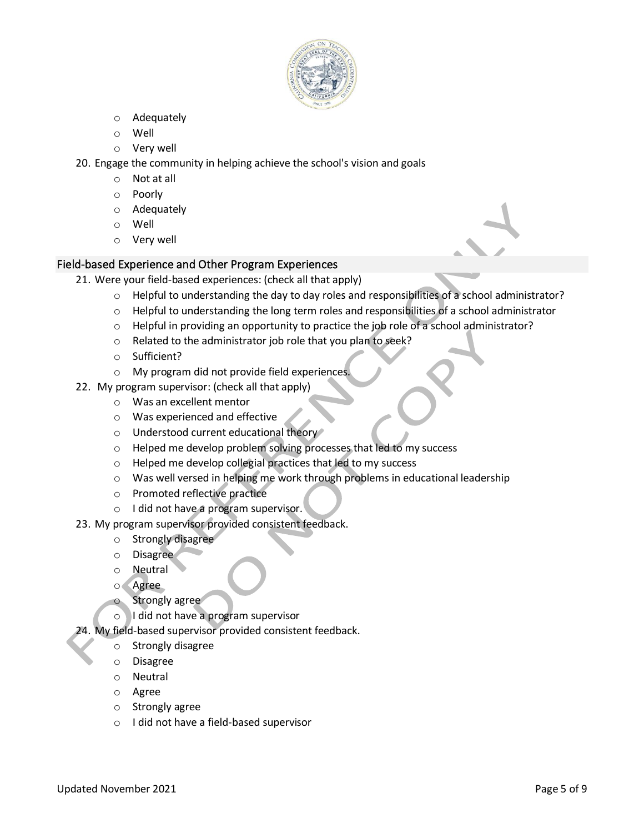

- o Adequately
- o Well
- o Very well
- 20. Engage the community in helping achieve the school's vision and goals
	- o Not at all
	- o Poorly
	- o Adequately
	- o Well
	- o Very well

## Field-based Experience and Other Program Experiences

- 21. Were your field-based experiences: (check all that apply)
	- o Helpful to understanding the day to day roles and responsibilities of a school administrator?
	- $\circ$  Helpful to understanding the long term roles and responsibilities of a school administrator
	- o Helpful in providing an opportunity to practice the job role of a school administrator?
	- o Related to the administrator job role that you plan to seek?
	- o Sufficient?
	- o My program did not provide field experiences.
- 22. My program supervisor: (check all that apply)
	- o Was an excellent mentor
	- o Was experienced and effective
	- o Understood current educational theory
	- o Helped me develop problem solving processes that led to my success
	- o Helped me develop collegial practices that led to my success
	- o Was well versed in helping me work through problems in educational leadership
	- o Promoted reflective practice
	- o I did not have a program supervisor.
- 23. My program supervisor provided consistent feedback.
	- o Strongly disagree
	- o Disagree
	- o Neutral
	- o Agree
		- Strongly agree
	- o I did not have a program supervisor
- 24. My field-based supervisor provided consistent feedback.
	- o Strongly disagree
	- o Disagree
	- o Neutral
	- o Agree
	- o Strongly agree
	- o I did not have a field-based supervisor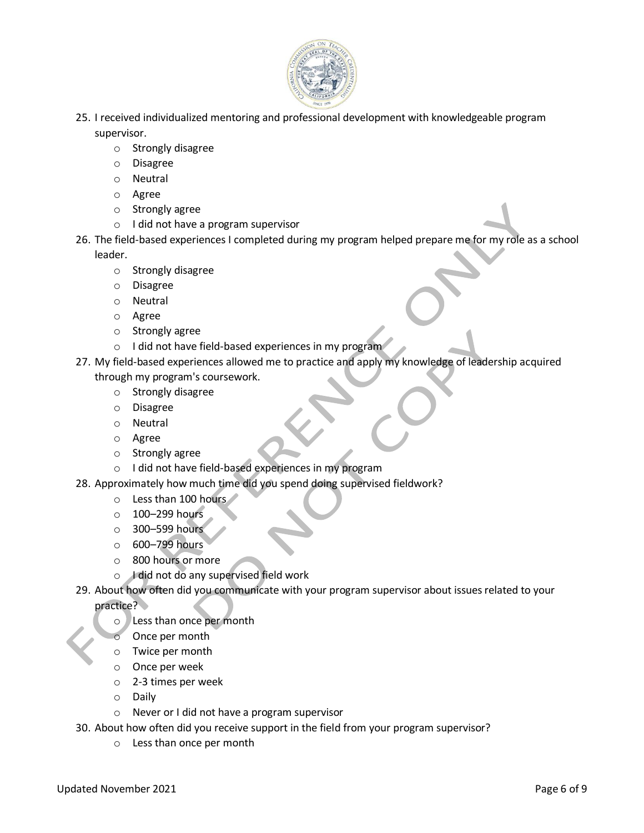

- 25. I received individualized mentoring and professional development with knowledgeable program supervisor.
	- o Strongly disagree
	- o Disagree
	- o Neutral
	- o Agree
	- o Strongly agree
	- o I did not have a program supervisor
- 26. The field-based experiences I completed during my program helped prepare me for my role as a school leader.
	- o Strongly disagree
	- o Disagree
	- o Neutral
	- o Agree
	- o Strongly agree
	- o I did not have field-based experiences in my program
- 27. My field-based experiences allowed me to practice and apply my knowledge of leadership acquired
	- through my program's coursework.
		- o Strongly disagree
		- o Disagree
		- o Neutral
		- o Agree
		- o Strongly agree
		- o I did not have field-based experiences in my program
- 28. Approximately how much time did you spend doing supervised fieldwork?
	- o Less than 100 hours
	- $\circ$  100–299 hours
	- o 300–599 hours
	- o 600–799 hours
	- o 800 hours or more
	- o I did not do any supervised field work
- 29. About how often did you communicate with your program supervisor about issues related to your

practice?

- o Less than once per month
- Once per month
- o Twice per month
- o Once per week
- o 2-3 times per week
- o Daily
- o Never or I did not have a program supervisor
- 30. About how often did you receive support in the field from your program supervisor?
	- o Less than once per month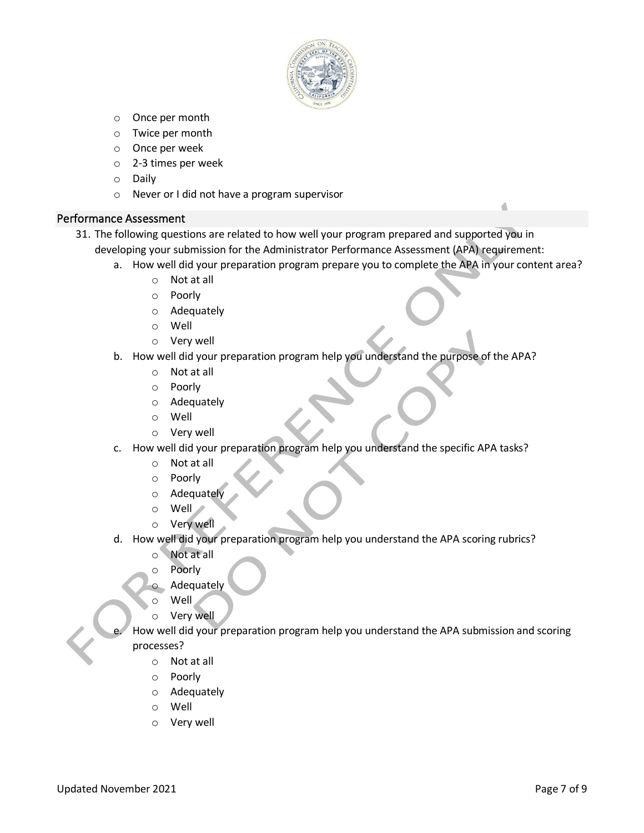

- o Once per month
- o Twice per month
- o Once per week
- o 2-3 times per week
- o Daily
- o Never or I did not have a program supervisor

#### Performance Assessment

- 31. The following questions are related to how well your program prepared and supported you in developing your submission for the Administrator Performance Assessment (APA) requirement:
	- a. How well did your preparation program prepare you to complete the APA in your content area?
		- o Not at all
		- o Poorly
		- o Adequately
		- o Well
		- o Very well
	- b. How well did your preparation program help you understand the purpose of the APA?
		- o Not at all
		- o Poorly
		- o Adequately
		- o Well
		- o Very well
	- c. How well did your preparation program help you understand the specific APA tasks?
		- o Not at all
		- o Poorly
		- o Adequately
		- o Well
		- o Very well
	- d. How well did your preparation program help you understand the APA scoring rubrics?
		- o Not at all
		- o Poorly
		- Adequately
		- o Well
		- o Very well
		- How well did your preparation program help you understand the APA submission and scoring processes?
			- o Not at all
			- o Poorly
			- o Adequately
			- o Well
			- o Very well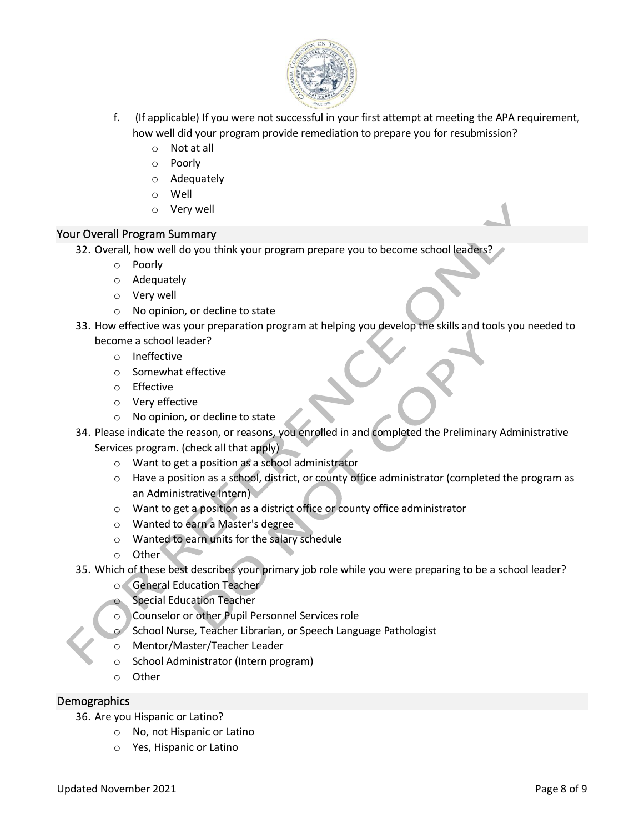

- f. (If applicable) If you were not successful in your first attempt at meeting the APA requirement, how well did your program provide remediation to prepare you for resubmission?
	- o Not at all
	- o Poorly
	- o Adequately
	- o Well
	- o Very well

## Your Overall Program Summary

- 32. Overall, how well do you think your program prepare you to become school leaders?
	- o Poorly
	- o Adequately
	- o Very well
	- o No opinion, or decline to state
- 33. How effective was your preparation program at helping you develop the skills and tools you needed to become a school leader?
	- o Ineffective
	- o Somewhat effective
	- o Effective
	- o Very effective
	- o No opinion, or decline to state
- 34. Please indicate the reason, or reasons, you enrolled in and completed the Preliminary Administrative Services program. (check all that apply)
	- o Want to get a position as a school administrator
	- $\circ$  Have a position as a school, district, or county office administrator (completed the program as an Administrative Intern)
	- o Want to get a position as a district office or county office administrator
	- o Wanted to earn a Master's degree
	- o Wanted to earn units for the salary schedule
	- o Other
- 35. Which of these best describes your primary job role while you were preparing to be a school leader?
	- o General Education Teacher
	- **Special Education Teacher**
	- Counselor or other Pupil Personnel Services role
	- School Nurse, Teacher Librarian, or Speech Language Pathologist
	- o Mentor/Master/Teacher Leader
	- o School Administrator (Intern program)
	- o Other

## **Demographics**

36. Are you Hispanic or Latino?

- o No, not Hispanic or Latino
- o Yes, Hispanic or Latino